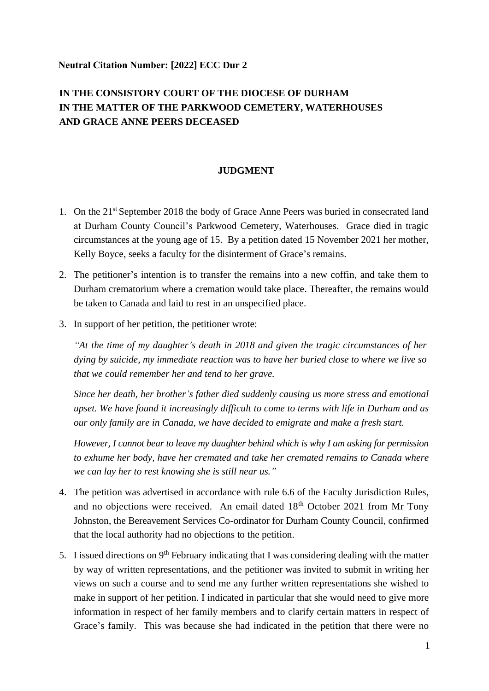## **Neutral Citation Number: [2022] ECC Dur 2**

## **IN THE CONSISTORY COURT OF THE DIOCESE OF DURHAM IN THE MATTER OF THE PARKWOOD CEMETERY, WATERHOUSES AND GRACE ANNE PEERS DECEASED**

## **JUDGMENT**

- 1. On the 21st September 2018 the body of Grace Anne Peers was buried in consecrated land at Durham County Council's Parkwood Cemetery, Waterhouses. Grace died in tragic circumstances at the young age of 15. By a petition dated 15 November 2021 her mother, Kelly Boyce, seeks a faculty for the disinterment of Grace's remains.
- 2. The petitioner's intention is to transfer the remains into a new coffin, and take them to Durham crematorium where a cremation would take place. Thereafter, the remains would be taken to Canada and laid to rest in an unspecified place.
- 3. In support of her petition, the petitioner wrote:

*"At the time of my daughter's death in 2018 and given the tragic circumstances of her dying by suicide, my immediate reaction was to have her buried close to where we live so that we could remember her and tend to her grave.* 

*Since her death, her brother's father died suddenly causing us more stress and emotional upset. We have found it increasingly difficult to come to terms with life in Durham and as our only family are in Canada, we have decided to emigrate and make a fresh start.* 

*However, I cannot bear to leave my daughter behind which is why I am asking for permission to exhume her body, have her cremated and take her cremated remains to Canada where we can lay her to rest knowing she is still near us."*

- 4. The petition was advertised in accordance with rule 6.6 of the Faculty Jurisdiction Rules, and no objections were received. An email dated 18<sup>th</sup> October 2021 from Mr Tony Johnston, the Bereavement Services Co-ordinator for Durham County Council, confirmed that the local authority had no objections to the petition.
- 5. I issued directions on  $9<sup>th</sup>$  February indicating that I was considering dealing with the matter by way of written representations, and the petitioner was invited to submit in writing her views on such a course and to send me any further written representations she wished to make in support of her petition. I indicated in particular that she would need to give more information in respect of her family members and to clarify certain matters in respect of Grace's family. This was because she had indicated in the petition that there were no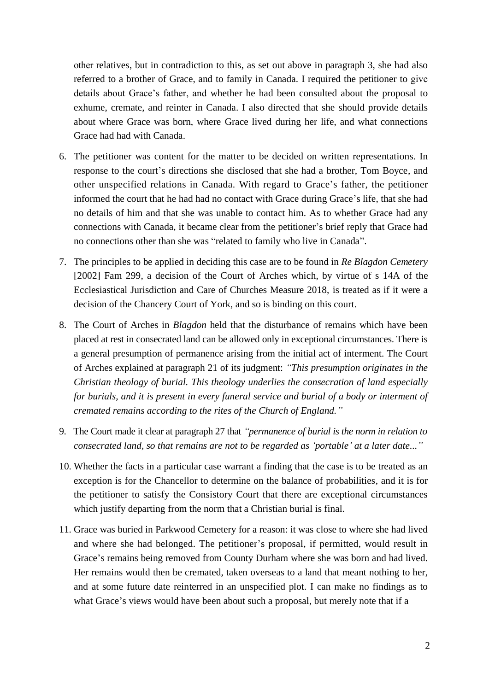other relatives, but in contradiction to this, as set out above in paragraph 3, she had also referred to a brother of Grace, and to family in Canada. I required the petitioner to give details about Grace's father, and whether he had been consulted about the proposal to exhume, cremate, and reinter in Canada. I also directed that she should provide details about where Grace was born, where Grace lived during her life, and what connections Grace had had with Canada.

- 6. The petitioner was content for the matter to be decided on written representations. In response to the court's directions she disclosed that she had a brother, Tom Boyce, and other unspecified relations in Canada. With regard to Grace's father, the petitioner informed the court that he had had no contact with Grace during Grace's life, that she had no details of him and that she was unable to contact him. As to whether Grace had any connections with Canada, it became clear from the petitioner's brief reply that Grace had no connections other than she was "related to family who live in Canada".
- 7. The principles to be applied in deciding this case are to be found in *Re Blagdon Cemetery* [2002] Fam 299, a decision of the Court of Arches which, by virtue of s 14A of the Ecclesiastical Jurisdiction and Care of Churches Measure 2018, is treated as if it were a decision of the Chancery Court of York, and so is binding on this court.
- 8. The Court of Arches in *Blagdon* held that the disturbance of remains which have been placed at rest in consecrated land can be allowed only in exceptional circumstances. There is a general presumption of permanence arising from the initial act of interment. The Court of Arches explained at paragraph 21 of its judgment: *"This presumption originates in the Christian theology of burial. This theology underlies the consecration of land especially for burials, and it is present in every funeral service and burial of a body or interment of cremated remains according to the rites of the Church of England."*
- 9. The Court made it clear at paragraph 27 that *"permanence of burial is the norm in relation to consecrated land, so that remains are not to be regarded as 'portable' at a later date..."*
- 10. Whether the facts in a particular case warrant a finding that the case is to be treated as an exception is for the Chancellor to determine on the balance of probabilities, and it is for the petitioner to satisfy the Consistory Court that there are exceptional circumstances which justify departing from the norm that a Christian burial is final.
- 11. Grace was buried in Parkwood Cemetery for a reason: it was close to where she had lived and where she had belonged. The petitioner's proposal, if permitted, would result in Grace's remains being removed from County Durham where she was born and had lived. Her remains would then be cremated, taken overseas to a land that meant nothing to her, and at some future date reinterred in an unspecified plot. I can make no findings as to what Grace's views would have been about such a proposal, but merely note that if a